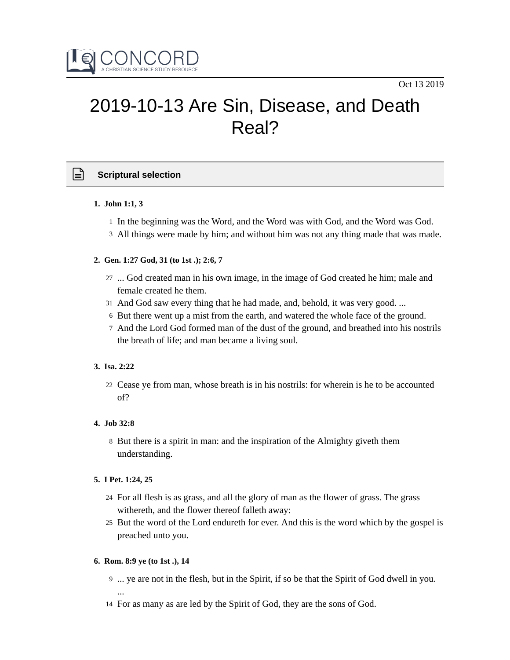

# 2019-10-13 Are Sin, Disease, and Death Real?

# **Scriptural selection**

## **1. John 1:1, 3**

- 1 In the beginning was the Word, and the Word was with God, and the Word was God.
- All things were made by him; and without him was not any thing made that was made. 3

## **2. Gen. 1:27 God, 31 (to 1st .); 2:6, 7**

- 27 ... God created man in his own image, in the image of God created he him; male and female created he them.
- And God saw every thing that he had made, and, behold, it was very good. ... 31
- 6 But there went up a mist from the earth, and watered the whole face of the ground.
- 7 And the Lord God formed man of the dust of the ground, and breathed into his nostrils the breath of life; and man became a living soul.

## **3. Isa. 2:22**

Cease ye from man, whose breath is in his nostrils: for wherein is he to be accounted 22 of?

## **4. Job 32:8**

8 But there is a spirit in man: and the inspiration of the Almighty giveth them understanding.

## **5. I Pet. 1:24, 25**

- For all flesh is as grass, and all the glory of man as the flower of grass. The grass 24 withereth, and the flower thereof falleth away:
- 25 But the word of the Lord endureth for ever. And this is the word which by the gospel is preached unto you.

## **6. Rom. 8:9 ye (to 1st .), 14**

- ... ye are not in the flesh, but in the Spirit, if so be that the Spirit of God dwell in you. 9 ...
- 14 For as many as are led by the Spirit of God, they are the sons of God.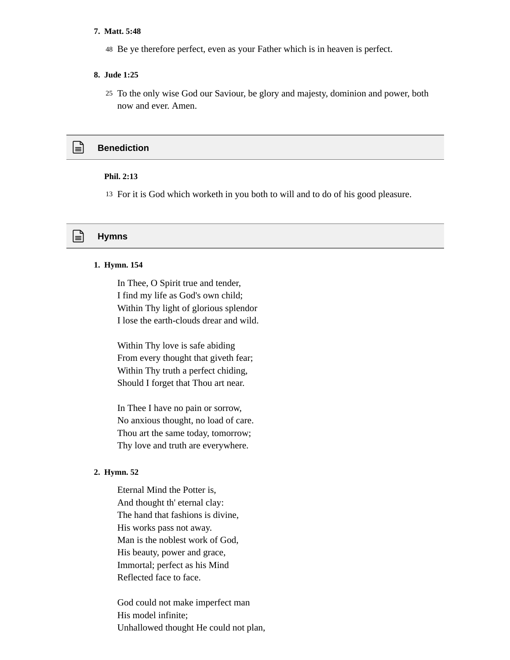#### **7. Matt. 5:48**

48 Be ye therefore perfect, even as your Father which is in heaven is perfect.

#### **8. Jude 1:25**

To the only wise God our Saviour, be glory and majesty, dominion and power, both 25 now and ever. Amen.

# **Benediction**

#### **Phil. 2:13**

13 For it is God which worketh in you both to will and to do of his good pleasure.

## **Hymns**

#### **1. Hymn. 154**

In Thee, O Spirit true and tender, I find my life as God's own child; Within Thy light of glorious splendor I lose the earth-clouds drear and wild.

Within Thy love is safe abiding From every thought that giveth fear; Within Thy truth a perfect chiding, Should I forget that Thou art near.

In Thee I have no pain or sorrow, No anxious thought, no load of care. Thou art the same today, tomorrow; Thy love and truth are everywhere.

#### **2. Hymn. 52**

Eternal Mind the Potter is, And thought th' eternal clay: The hand that fashions is divine, His works pass not away. Man is the noblest work of God, His beauty, power and grace, Immortal; perfect as his Mind Reflected face to face.

God could not make imperfect man His model infinite; Unhallowed thought He could not plan,